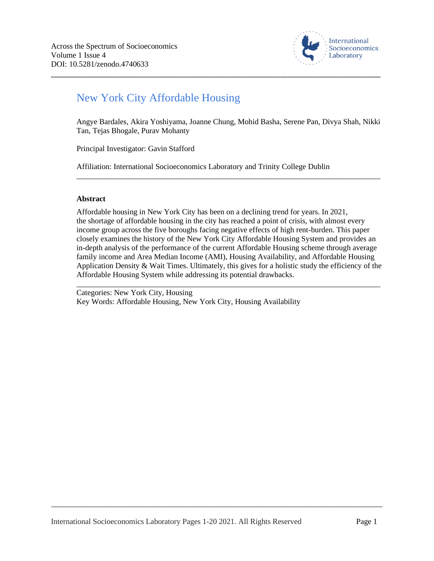

# New York City Affordable Housing

Angye Bardales, Akira Yoshiyama, Joanne Chung, Mohid Basha, Serene Pan, Divya Shah, Nikki Tan, Tejas Bhogale, Purav Mohanty

\_\_\_\_\_\_\_\_\_\_\_\_\_\_\_\_\_\_\_\_\_\_\_\_\_\_\_\_\_\_\_\_\_\_\_\_\_\_\_\_\_\_\_\_\_\_\_\_\_\_\_\_\_\_\_\_\_\_\_\_\_\_\_\_\_\_\_\_\_\_\_\_\_\_\_\_\_\_

\_\_\_\_\_\_\_\_\_\_\_\_\_\_\_\_\_\_\_\_\_\_\_\_\_\_\_\_\_\_\_\_\_\_\_\_\_\_\_\_\_\_\_\_\_\_\_\_\_\_\_\_\_\_\_\_\_\_\_\_\_\_\_\_\_\_\_\_\_\_\_\_\_\_\_\_\_\_\_\_\_\_\_\_\_

Principal Investigator: Gavin Stafford

Affiliation: International Socioeconomics Laboratory and Trinity College Dublin

### **Abstract**

Affordable housing in New York City has been on a declining trend for years. In 2021, the shortage of affordable housing in the city has reached a point of crisis, with almost every income group across the five boroughs facing negative effects of high rent-burden. This paper closely examines the history of the New York City Affordable Housing System and provides an in-depth analysis of the performance of the current Affordable Housing scheme through average family income and Area Median Income (AMI), Housing Availability, and Affordable Housing Application Density & Wait Times. Ultimately, this gives for a holistic study the efficiency of the Affordable Housing System while addressing its potential drawbacks.

\_\_\_\_\_\_\_\_\_\_\_\_\_\_\_\_\_\_\_\_\_\_\_\_\_\_\_\_\_\_\_\_\_\_\_\_\_\_\_\_\_\_\_\_\_\_\_\_\_\_\_\_\_\_\_\_\_\_\_\_\_\_\_\_\_\_\_\_\_\_\_\_\_\_\_\_\_\_

Categories: New York City, Housing Key Words: Affordable Housing, New York City, Housing Availability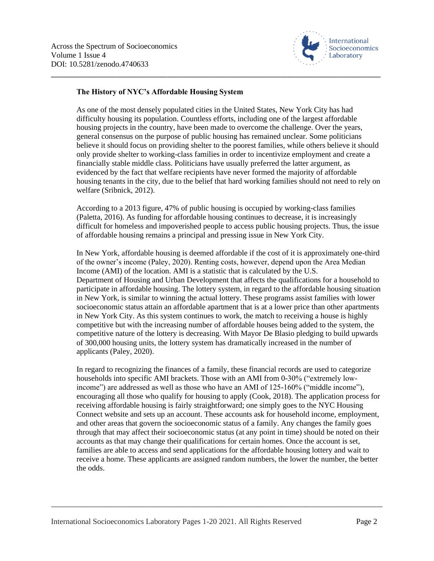

## **The History of NYC's Affordable Housing System**

As one of the most densely populated cities in the United States, New York City has had difficulty housing its population. Countless efforts, including one of the largest affordable housing projects in the country, have been made to overcome the challenge. Over the years, general consensus on the purpose of public housing has remained unclear. Some politicians believe it should focus on providing shelter to the poorest families, while others believe it should only provide shelter to working-class families in order to incentivize employment and create a financially stable middle class. Politicians have usually preferred the latter argument, as evidenced by the fact that welfare recipients have never formed the majority of affordable housing tenants in the city, due to the belief that hard working families should not need to rely on welfare (Sribnick, 2012).

\_\_\_\_\_\_\_\_\_\_\_\_\_\_\_\_\_\_\_\_\_\_\_\_\_\_\_\_\_\_\_\_\_\_\_\_\_\_\_\_\_\_\_\_\_\_\_\_\_\_\_\_\_\_\_\_\_\_\_\_\_\_\_\_\_\_\_\_\_\_\_\_\_\_\_\_\_\_\_\_\_\_\_\_\_

According to a 2013 figure, 47% of public housing is occupied by working-class families (Paletta, 2016). As funding for affordable housing continues to decrease, it is increasingly difficult for homeless and impoverished people to access public housing projects. Thus, the issue of affordable housing remains a principal and pressing issue in New York City.

In New York, affordable housing is deemed affordable if the cost of it is approximately one-third of the owner's income (Paley, 2020). Renting costs, however, depend upon the Area Median Income (AMI) of the location. AMI is a statistic that is calculated by the U.S. Department of Housing and Urban Development that affects the qualifications for a household to participate in affordable housing. The lottery system, in regard to the affordable housing situation in New York, is similar to winning the actual lottery. These programs assist families with lower socioeconomic status attain an affordable apartment that is at a lower price than other apartments in New York City. As this system continues to work, the match to receiving a house is highly competitive but with the increasing number of affordable houses being added to the system, the competitive nature of the lottery is decreasing. With Mayor De Blasio pledging to build upwards of 300,000 housing units, the lottery system has dramatically increased in the number of applicants (Paley, 2020).

In regard to recognizing the finances of a family, these financial records are used to categorize households into specific AMI brackets. Those with an AMI from 0-30% ("extremely lowincome") are addressed as well as those who have an AMI of 125-160% ("middle income"), encouraging all those who qualify for housing to apply (Cook, 2018). The application process for receiving affordable housing is fairly straightforward; one simply goes to the NYC Housing Connect website and sets up an account. These accounts ask for household income, employment, and other areas that govern the socioeconomic status of a family. Any changes the family goes through that may affect their socioeconomic status (at any point in time) should be noted on their accounts as that may change their qualifications for certain homes. Once the account is set, families are able to access and send applications for the affordable housing lottery and wait to receive a home. These applicants are assigned random numbers, the lower the number, the better the odds.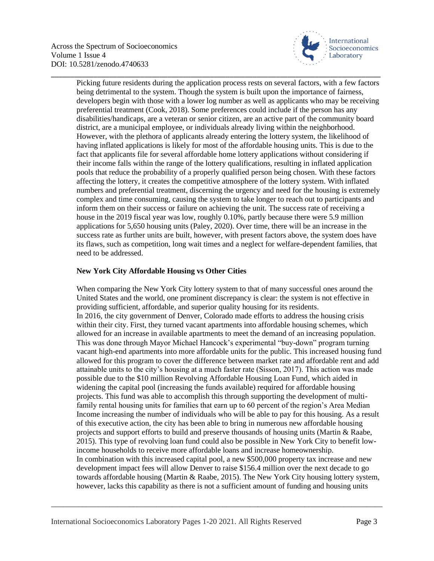

Picking future residents during the application process rests on several factors, with a few factors being detrimental to the system. Though the system is built upon the importance of fairness, developers begin with those with a lower log number as well as applicants who may be receiving preferential treatment (Cook, 2018). Some preferences could include if the person has any disabilities/handicaps, are a veteran or senior citizen, are an active part of the community board district, are a municipal employee, or individuals already living within the neighborhood. However, with the plethora of applicants already entering the lottery system, the likelihood of having inflated applications is likely for most of the affordable housing units. This is due to the fact that applicants file for several affordable home lottery applications without considering if their income falls within the range of the lottery qualifications, resulting in inflated application pools that reduce the probability of a properly qualified person being chosen. With these factors affecting the lottery, it creates the competitive atmosphere of the lottery system. With inflated numbers and preferential treatment, discerning the urgency and need for the housing is extremely complex and time consuming, causing the system to take longer to reach out to participants and inform them on their success or failure on achieving the unit. The success rate of receiving a house in the 2019 fiscal year was low, roughly 0.10%, partly because there were 5.9 million applications for 5,650 housing units (Paley, 2020). Over time, there will be an increase in the success rate as further units are built, however, with present factors above, the system does have its flaws, such as competition, long wait times and a neglect for welfare-dependent families, that need to be addressed.

\_\_\_\_\_\_\_\_\_\_\_\_\_\_\_\_\_\_\_\_\_\_\_\_\_\_\_\_\_\_\_\_\_\_\_\_\_\_\_\_\_\_\_\_\_\_\_\_\_\_\_\_\_\_\_\_\_\_\_\_\_\_\_\_\_\_\_\_\_\_\_\_\_\_\_\_\_\_\_\_\_\_\_\_\_

## **New York City Affordable Housing vs Other Cities**

When comparing the New York City lottery system to that of many successful ones around the United States and the world, one prominent discrepancy is clear: the system is not effective in providing sufficient, affordable, and superior quality housing for its residents. In 2016, the city government of Denver, Colorado made efforts to address the housing crisis within their city. First, they turned vacant apartments into affordable housing schemes, which allowed for an increase in available apartments to meet the demand of an increasing population. This was done through Mayor Michael Hancock's experimental "buy-down" program turning vacant high-end apartments into more affordable units for the public. This increased housing fund allowed for this program to cover the difference between market rate and affordable rent and add attainable units to the city's housing at a much faster rate (Sisson, 2017). This action was made possible due to the \$10 million Revolving Affordable Housing Loan Fund, which aided in widening the capital pool (increasing the funds available) required for affordable housing projects. This fund was able to accomplish this through supporting the development of multifamily rental housing units for families that earn up to 60 percent of the region's Area Median Income increasing the number of individuals who will be able to pay for this housing. As a result of this executive action, the city has been able to bring in numerous new affordable housing projects and support efforts to build and preserve thousands of housing units (Martin & Raabe, 2015). This type of revolving loan fund could also be possible in New York City to benefit lowincome households to receive more affordable loans and increase homeownership. In combination with this increased capital pool, a new \$500,000 property tax increase and new development impact fees will allow Denver to raise \$156.4 million over the next decade to go towards affordable housing (Martin & Raabe, 2015). The New York City housing lottery system, however, lacks this capability as there is not a sufficient amount of funding and housing units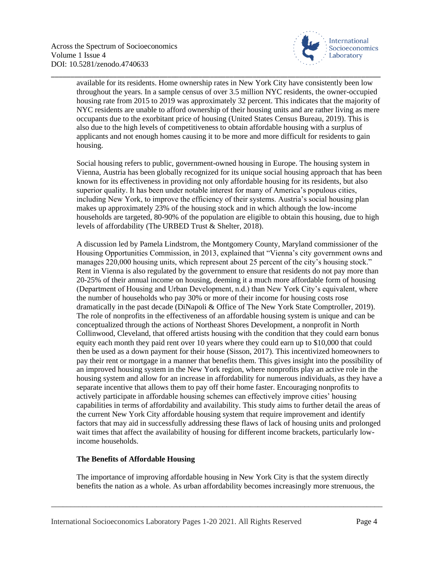

available for its residents. Home ownership rates in New York City have consistently been low throughout the years. In a sample census of over 3.5 million NYC residents, the owner-occupied housing rate from 2015 to 2019 was approximately 32 percent. This indicates that the majority of NYC residents are unable to afford ownership of their housing units and are rather living as mere occupants due to the exorbitant price of housing (United States Census Bureau, 2019). This is also due to the high levels of competitiveness to obtain affordable housing with a surplus of applicants and not enough homes causing it to be more and more difficult for residents to gain housing.

\_\_\_\_\_\_\_\_\_\_\_\_\_\_\_\_\_\_\_\_\_\_\_\_\_\_\_\_\_\_\_\_\_\_\_\_\_\_\_\_\_\_\_\_\_\_\_\_\_\_\_\_\_\_\_\_\_\_\_\_\_\_\_\_\_\_\_\_\_\_\_\_\_\_\_\_\_\_\_\_\_\_\_\_\_

Social housing refers to public, government-owned housing in Europe. The housing system in Vienna, Austria has been globally recognized for its unique social housing approach that has been known for its effectiveness in providing not only affordable housing for its residents, but also superior quality. It has been under notable interest for many of America's populous cities, including New York, to improve the efficiency of their systems. Austria's social housing plan makes up approximately 23% of the housing stock and in which although the low-income households are targeted, 80-90% of the population are eligible to obtain this housing, due to high levels of affordability (The URBED Trust & Shelter, 2018).

A discussion led by Pamela Lindstrom, the Montgomery County, Maryland commissioner of the Housing Opportunities Commission, in 2013, explained that "Vienna's city government owns and manages 220,000 housing units, which represent about 25 percent of the city's housing stock." Rent in Vienna is also regulated by the government to ensure that residents do not pay more than 20-25% of their annual income on housing, deeming it a much more affordable form of housing (Department of Housing and Urban Development, n.d.) than New York City's equivalent, where the number of households who pay 30% or more of their income for housing costs rose dramatically in the past decade (DiNapoli & Office of The New York State Comptroller, 2019). The role of nonprofits in the effectiveness of an affordable housing system is unique and can be conceptualized through the actions of Northeast Shores Development, a nonprofit in North Collinwood, Cleveland, that offered artists housing with the condition that they could earn bonus equity each month they paid rent over 10 years where they could earn up to \$10,000 that could then be used as a down payment for their house (Sisson, 2017). This incentivized homeowners to pay their rent or mortgage in a manner that benefits them. This gives insight into the possibility of an improved housing system in the New York region, where nonprofits play an active role in the housing system and allow for an increase in affordability for numerous individuals, as they have a separate incentive that allows them to pay off their home faster. Encouraging nonprofits to actively participate in affordable housing schemes can effectively improve cities' housing capabilities in terms of affordability and availability. This study aims to further detail the areas of the current New York City affordable housing system that require improvement and identify factors that may aid in successfully addressing these flaws of lack of housing units and prolonged wait times that affect the availability of housing for different income brackets, particularly lowincome households.

### **The Benefits of Affordable Housing**

The importance of improving affordable housing in New York City is that the system directly benefits the nation as a whole. As urban affordability becomes increasingly more strenuous, the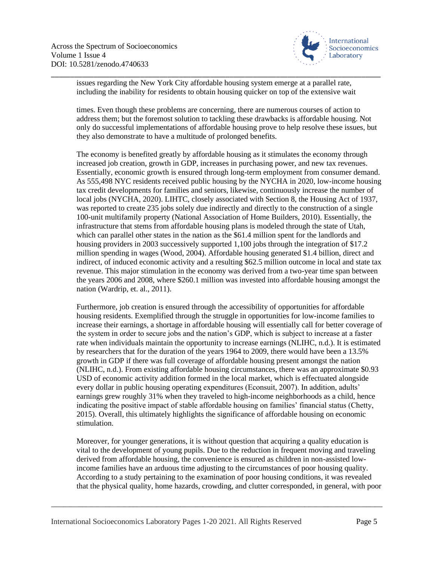

\_\_\_\_\_\_\_\_\_\_\_\_\_\_\_\_\_\_\_\_\_\_\_\_\_\_\_\_\_\_\_\_\_\_\_\_\_\_\_\_\_\_\_\_\_\_\_\_\_\_\_\_\_\_\_\_\_\_\_\_\_\_\_\_\_\_\_\_\_\_\_\_\_\_\_\_\_\_\_\_\_\_\_\_\_ issues regarding the New York City affordable housing system emerge at a parallel rate, including the inability for residents to obtain housing quicker on top of the extensive wait

times. Even though these problems are concerning, there are numerous courses of action to address them; but the foremost solution to tackling these drawbacks is affordable housing. Not only do successful implementations of affordable housing prove to help resolve these issues, but they also demonstrate to have a multitude of prolonged benefits.

The economy is benefited greatly by affordable housing as it stimulates the economy through increased job creation, growth in GDP, increases in purchasing power, and new tax revenues. Essentially, economic growth is ensured through long-term employment from consumer demand. As 555,498 NYC residents received public housing by the NYCHA in 2020, low-income housing tax credit developments for families and seniors, likewise, continuously increase the number of local jobs (NYCHA, 2020). LIHTC, closely associated with Section 8, the Housing Act of 1937, was reported to create 235 jobs solely due indirectly and directly to the construction of a single 100-unit multifamily property (National Association of Home Builders, 2010). Essentially, the infrastructure that stems from affordable housing plans is modeled through the state of Utah, which can parallel other states in the nation as the \$61.4 million spent for the landlords and housing providers in 2003 successively supported 1,100 jobs through the integration of \$17.2 million spending in wages (Wood, 2004). Affordable housing generated \$1.4 billion, direct and indirect, of induced economic activity and a resulting \$62.5 million outcome in local and state tax revenue. This major stimulation in the economy was derived from a two-year time span between the years 2006 and 2008, where \$260.1 million was invested into affordable housing amongst the nation (Wardrip, et. al., 2011).

Furthermore, job creation is ensured through the accessibility of opportunities for affordable housing residents. Exemplified through the struggle in opportunities for low-income families to increase their earnings, a shortage in affordable housing will essentially call for better coverage of the system in order to secure jobs and the nation's GDP, which is subject to increase at a faster rate when individuals maintain the opportunity to increase earnings (NLIHC, n.d.). It is estimated by researchers that for the duration of the years 1964 to 2009, there would have been a 13.5% growth in GDP if there was full coverage of affordable housing present amongst the nation (NLIHC, n.d.). From existing affordable housing circumstances, there was an approximate \$0.93 USD of economic activity addition formed in the local market, which is effectuated alongside every dollar in public housing operating expenditures (Econsuit, 2007). In addition, adults' earnings grew roughly 31% when they traveled to high-income neighborhoods as a child, hence indicating the positive impact of stable affordable housing on families' financial status (Chetty, 2015). Overall, this ultimately highlights the significance of affordable housing on economic stimulation.

Moreover, for younger generations, it is without question that acquiring a quality education is vital to the development of young pupils. Due to the reduction in frequent moving and traveling derived from affordable housing, the convenience is ensured as children in non-assisted lowincome families have an arduous time adjusting to the circumstances of poor housing quality. According to a study pertaining to the examination of poor housing conditions, it was revealed that the physical quality, home hazards, crowding, and clutter corresponded, in general, with poor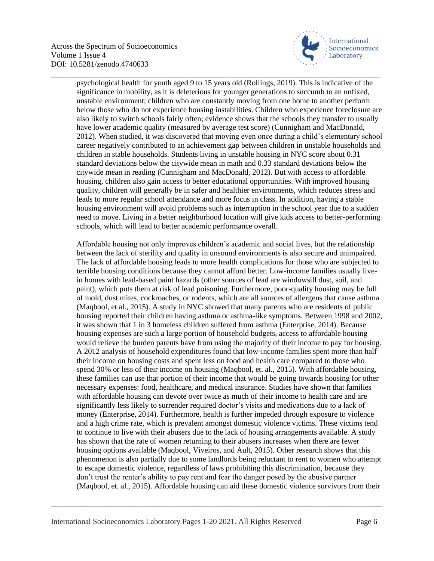

psychological health for youth aged 9 to 15 years old (Rollings, 2019). This is indicative of the significance in mobility, as it is deleterious for younger generations to succumb to an unfixed, unstable environment; children who are constantly moving from one home to another perform below those who do not experience housing instabilities. Children who experience foreclosure are also likely to switch schools fairly often; evidence shows that the schools they transfer to usually have lower academic quality (measured by average test score) (Cunnigham and MacDonald, 2012). When studied, it was discovered that moving even once during a child's elementary school career negatively contributed to an achievement gap between children in unstable households and children in stable households. Students living in unstable housing in NYC score about 0.31 standard deviations below the citywide mean in math and 0.33 standard deviations below the citywide mean in reading (Cunnigham and MacDonald, 2012). But with access to affordable housing, children also gain access to better educational opportunities. With improved housing quality, children will generally be in safer and healthier environments, which reduces stress and leads to more regular school attendance and more focus in class. In addition, having a stable housing environment will avoid problems such as interruption in the school year due to a sudden need to move. Living in a better neighborhood location will give kids access to better-performing schools, which will lead to better academic performance overall.

\_\_\_\_\_\_\_\_\_\_\_\_\_\_\_\_\_\_\_\_\_\_\_\_\_\_\_\_\_\_\_\_\_\_\_\_\_\_\_\_\_\_\_\_\_\_\_\_\_\_\_\_\_\_\_\_\_\_\_\_\_\_\_\_\_\_\_\_\_\_\_\_\_\_\_\_\_\_\_\_\_\_\_\_\_

Affordable housing not only improves children's academic and social lives, but the relationship between the lack of sterility and quality in unsound environments is also secure and unimpaired. The lack of affordable housing leads to more health complications for those who are subjected to terrible housing conditions because they cannot afford better. Low-income families usually livein homes with lead-based paint hazards (other sources of lead are windowsill dust, soil, and paint), which puts them at risk of lead poisoning. Furthermore, poor-quality housing may be full of mold, dust mites, cockroaches, or rodents, which are all sources of allergens that cause asthma (Maqbool, et.al., 2015). A study in NYC showed that many parents who are residents of public housing reported their children having asthma or asthma-like symptoms. Between 1998 and 2002, it was shown that 1 in 3 homeless children suffered from asthma (Enterprise, 2014). Because housing expenses are such a large portion of household budgets, access to affordable housing would relieve the burden parents have from using the majority of their income to pay for housing. A 2012 analysis of household expenditures found that low-income families spent more than half their income on housing costs and spent less on food and health care compared to those who spend 30% or less of their income on housing (Maqbool, et. al., 2015). With affordable housing, these families can use that portion of their income that would be going towards housing for other necessary expenses: food, healthcare, and medical insurance. Studies have shown that families with affordable housing can devote over twice as much of their income to health care and are significantly less likely to surrender required doctor's visits and medications due to a lack of money (Enterprise, 2014). Furthermore, health is further impeded through exposure to violence and a high crime rate, which is prevalent amongst domestic violence victims. These victims tend to continue to live with their abusers due to the lack of housing arrangements available. A study has shown that the rate of women returning to their abusers increases when there are fewer housing options available (Maqbool, Viveiros, and Ault, 2015). Other research shows that this phenomenon is also partially due to some landlords being reluctant to rent to women who attempt to escape domestic violence, regardless of laws prohibiting this discrimination, because they don't trust the renter's ability to pay rent and fear the danger posed by the abusive partner (Maqbool, et. al., 2015). Affordable housing can aid these domestic violence survivors from their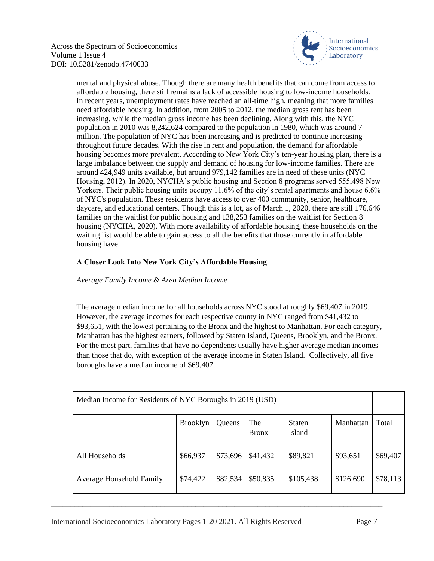

mental and physical abuse. Though there are many health benefits that can come from access to affordable housing, there still remains a lack of accessible housing to low-income households. In recent years, unemployment rates have reached an all-time high, meaning that more families need affordable housing. In addition, from 2005 to 2012, the median gross rent has been increasing, while the median gross income has been declining. Along with this, the NYC population in 2010 was 8,242,624 compared to the population in 1980, which was around 7 million. The population of NYC has been increasing and is predicted to continue increasing throughout future decades. With the rise in rent and population, the demand for affordable housing becomes more prevalent. According to New York City's ten-year housing plan, there is a large imbalance between the supply and demand of housing for low-income families. There are around 424,949 units available, but around 979,142 families are in need of these units (NYC Housing, 2012). In 2020, NYCHA's public housing and Section 8 programs served 555,498 New Yorkers. Their public housing units occupy 11.6% of the city's rental apartments and house 6.6% of NYC's population. These residents have access to over 400 community, senior, healthcare, daycare, and educational centers. Though this is a lot, as of March 1, 2020, there are still 176,646 families on the waitlist for public housing and 138,253 families on the waitlist for Section 8 housing (NYCHA, 2020). With more availability of affordable housing, these households on the waiting list would be able to gain access to all the benefits that those currently in affordable housing have.

\_\_\_\_\_\_\_\_\_\_\_\_\_\_\_\_\_\_\_\_\_\_\_\_\_\_\_\_\_\_\_\_\_\_\_\_\_\_\_\_\_\_\_\_\_\_\_\_\_\_\_\_\_\_\_\_\_\_\_\_\_\_\_\_\_\_\_\_\_\_\_\_\_\_\_\_\_\_\_\_\_\_\_\_\_

## **A Closer Look Into New York City's Affordable Housing**

## *Average Family Income & Area Median Income*

The average median income for all households across NYC stood at roughly \$69,407 in 2019. However, the average incomes for each respective county in NYC ranged from \$41,432 to \$93,651, with the lowest pertaining to the Bronx and the highest to Manhattan. For each category, Manhattan has the highest earners, followed by Staten Island, Queens, Brooklyn, and the Bronx. For the most part, families that have no dependents usually have higher average median incomes than those that do, with exception of the average income in Staten Island. Collectively, all five boroughs have a median income of \$69,407.

| Median Income for Residents of NYC Boroughs in 2019 (USD) |                 |          |                     |                         |           |          |
|-----------------------------------------------------------|-----------------|----------|---------------------|-------------------------|-----------|----------|
|                                                           | <b>Brooklyn</b> | Queens   | The<br><b>Bronx</b> | <b>Staten</b><br>Island | Manhattan | Total    |
| All Households                                            | \$66,937        | \$73,696 | \$41,432            | \$89,821                | \$93,651  | \$69,407 |
| Average Household Family                                  | \$74,422        | \$82,534 | \$50,835            | \$105,438               | \$126,690 | \$78,113 |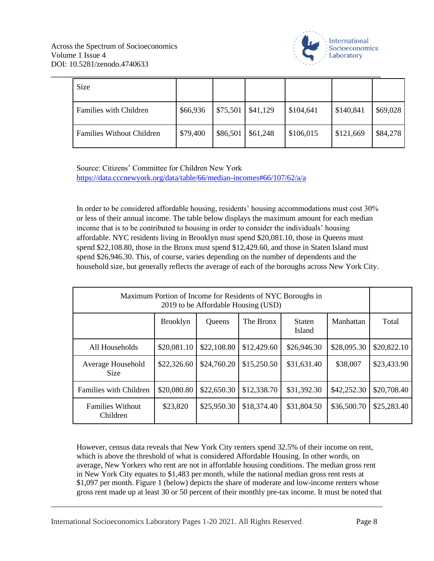

| Size                             |          |          |          |           |           |          |
|----------------------------------|----------|----------|----------|-----------|-----------|----------|
| <b>Families with Children</b>    | \$66,936 | \$75,501 | \$41,129 | \$104,641 | \$140,841 | \$69,028 |
| <b>Families Without Children</b> | \$79,400 | \$86,501 | \$61,248 | \$106,015 | \$121,669 | \$84,278 |

Source: Citizens' Committee for Children New York <https://data.cccnewyork.org/data/table/66/median-incomes#66/107/62/a/a>

In order to be considered affordable housing, residents' housing accommodations must cost 30% or less of their annual income. The table below displays the maximum amount for each median income that is to be contributed to housing in order to consider the individuals' housing affordable. NYC residents living in Brooklyn must spend \$20,081.10, those in Queens must spend \$22,108.80, those in the Bronx must spend \$12,429.60, and those in Staten Island must spend \$26,946.30. This, of course, varies depending on the number of dependents and the household size, but generally reflects the average of each of the boroughs across New York City.

| Maximum Portion of Income for Residents of NYC Boroughs in<br>2019 to be Affordable Housing (USD) |                 |             |             |                                |             |             |
|---------------------------------------------------------------------------------------------------|-----------------|-------------|-------------|--------------------------------|-------------|-------------|
|                                                                                                   | <b>Brooklyn</b> | Queens      | The Bronx   | <b>Staten</b><br><b>Island</b> | Manhattan   | Total       |
| All Households                                                                                    | \$20,081.10     | \$22,108.80 | \$12,429.60 | \$26,946.30                    | \$28,095.30 | \$20,822.10 |
| Average Household<br><b>Size</b>                                                                  | \$22,326.60     | \$24,760.20 | \$15,250.50 | \$31,631.40                    | \$38,007    | \$23,433.90 |
| Families with Children                                                                            | \$20,080.80     | \$22,650.30 | \$12,338.70 | \$31,392.30                    | \$42,252.30 | \$20,708.40 |
| <b>Families Without</b><br>Children                                                               | \$23,820        | \$25,950.30 | \$18,374.40 | \$31,804.50                    | \$36,500.70 | \$25,283.40 |

However, census data reveals that New York City renters spend 32.5% of their income on rent, which is above the threshold of what is considered Affordable Housing. In other words, on average, New Yorkers who rent are not in affordable housing conditions. The median gross rent in New York City equates to \$1,483 per month, while the national median gross rent rests at \$1,097 per month. Figure 1 (below) depicts the share of moderate and low-income renters whose gross rent made up at least 30 or 50 percent of their monthly pre-tax income. It must be noted that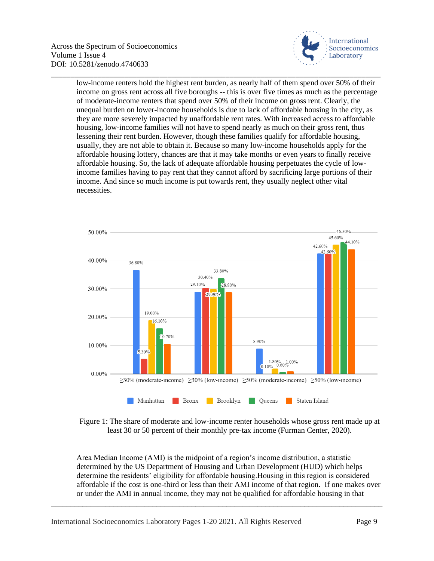

low-income renters hold the highest rent burden, as nearly half of them spend over 50% of their income on gross rent across all five boroughs -- this is over five times as much as the percentage of moderate-income renters that spend over 50% of their income on gross rent. Clearly, the unequal burden on lower-income households is due to lack of affordable housing in the city, as they are more severely impacted by unaffordable rent rates. With increased access to affordable housing, low-income families will not have to spend nearly as much on their gross rent, thus lessening their rent burden. However, though these families qualify for affordable housing, usually, they are not able to obtain it. Because so many low-income households apply for the affordable housing lottery, chances are that it may take months or even years to finally receive affordable housing. So, the lack of adequate affordable housing perpetuates the cycle of lowincome families having to pay rent that they cannot afford by sacrificing large portions of their income. And since so much income is put towards rent, they usually neglect other vital necessities.

\_\_\_\_\_\_\_\_\_\_\_\_\_\_\_\_\_\_\_\_\_\_\_\_\_\_\_\_\_\_\_\_\_\_\_\_\_\_\_\_\_\_\_\_\_\_\_\_\_\_\_\_\_\_\_\_\_\_\_\_\_\_\_\_\_\_\_\_\_\_\_\_\_\_\_\_\_\_\_\_\_\_\_\_\_



Figure 1: The share of moderate and low-income renter households whose gross rent made up at least 30 or 50 percent of their monthly pre-tax income (Furman Center, 2020).

Area Median Income (AMI) is the midpoint of a region's income distribution, a statistic determined by the US Department of Housing and Urban Development (HUD) which helps determine the residents' eligibility for affordable housing.Housing in this region is considered affordable if the cost is one-third or less than their AMI income of that region. If one makes over or under the AMI in annual income, they may not be qualified for affordable housing in that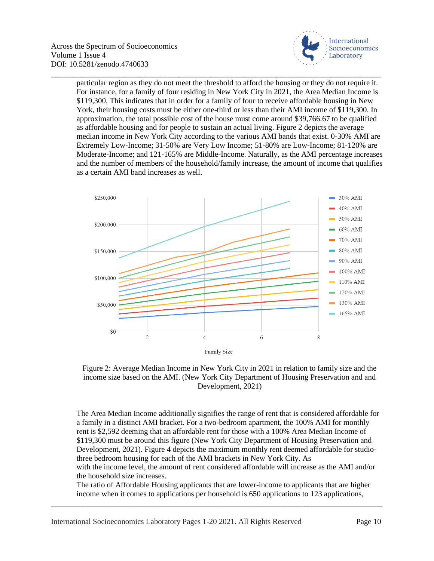

particular region as they do not meet the threshold to afford the housing or they do not require it. For instance, for a family of four residing in New York City in 2021, the Area Median Income is \$119,300. This indicates that in order for a family of four to receive affordable housing in New York, their housing costs must be either one-third or less than their AMI income of \$119,300. In approximation, the total possible cost of the house must come around \$39,766.67 to be qualified as affordable housing and for people to sustain an actual living. Figure 2 depicts the average median income in New York City according to the various AMI bands that exist. 0-30% AMI are Extremely Low-Income; 31-50% are Very Low Income; 51-80% are Low-Income; 81-120% are Moderate-Income; and 121-165% are Middle-Income. Naturally, as the AMI percentage increases and the number of members of the household/family increase, the amount of income that qualifies as a certain AMI band increases as well.

\_\_\_\_\_\_\_\_\_\_\_\_\_\_\_\_\_\_\_\_\_\_\_\_\_\_\_\_\_\_\_\_\_\_\_\_\_\_\_\_\_\_\_\_\_\_\_\_\_\_\_\_\_\_\_\_\_\_\_\_\_\_\_\_\_\_\_\_\_\_\_\_\_\_\_\_\_\_\_\_\_\_\_\_\_





The Area Median Income additionally signifies the range of rent that is considered affordable for a family in a distinct AMI bracket. For a two-bedroom apartment, the 100% AMI for monthly rent is \$2,592 deeming that an affordable rent for those with a 100% Area Median Income of \$119,300 must be around this figure (New York City Department of Housing Preservation and Development, 2021). Figure 4 depicts the maximum monthly rent deemed affordable for studiothree bedroom housing for each of the AMI brackets in New York City. As with the income level, the amount of rent considered affordable will increase as the AMI and/or the household size increases.

The ratio of Affordable Housing applicants that are lower-income to applicants that are higher income when it comes to applications per household is 650 applications to 123 applications,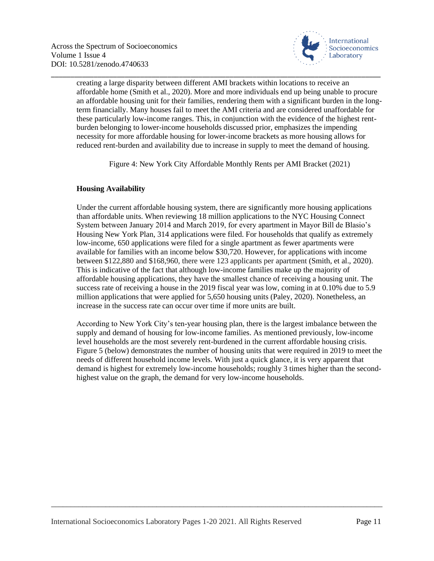

\_\_\_\_\_\_\_\_\_\_\_\_\_\_\_\_\_\_\_\_\_\_\_\_\_\_\_\_\_\_\_\_\_\_\_\_\_\_\_\_\_\_\_\_\_\_\_\_\_\_\_\_\_\_\_\_\_\_\_\_\_\_\_\_\_\_\_\_\_\_\_\_\_\_\_\_\_\_\_\_\_\_\_\_\_ creating a large disparity between different AMI brackets within locations to receive an affordable home (Smith et al., 2020). More and more individuals end up being unable to procure an affordable housing unit for their families, rendering them with a significant burden in the longterm financially. Many houses fail to meet the AMI criteria and are considered unaffordable for these particularly low-income ranges. This, in conjunction with the evidence of the highest rentburden belonging to lower-income households discussed prior, emphasizes the impending necessity for more affordable housing for lower-income brackets as more housing allows for reduced rent-burden and availability due to increase in supply to meet the demand of housing.

Figure 4: New York City Affordable Monthly Rents per AMI Bracket (2021)

## **Housing Availability**

Under the current affordable housing system, there are significantly more housing applications than affordable units. When reviewing 18 million applications to the NYC Housing Connect System between January 2014 and March 2019, for every apartment in Mayor Bill de Blasio's Housing New York Plan, 314 applications were filed. For households that qualify as extremely low-income, 650 applications were filed for a single apartment as fewer apartments were available for families with an income below \$30,720. However, for applications with income between \$122,880 and \$168,960, there were 123 applicants per apartment (Smith, et al., 2020). This is indicative of the fact that although low-income families make up the majority of affordable housing applications, they have the smallest chance of receiving a housing unit. The success rate of receiving a house in the 2019 fiscal year was low, coming in at 0.10% due to 5.9 million applications that were applied for 5,650 housing units (Paley, 2020). Nonetheless, an increase in the success rate can occur over time if more units are built.

According to New York City's ten-year housing plan, there is the largest imbalance between the supply and demand of housing for low-income families. As mentioned previously, low-income level households are the most severely rent-burdened in the current affordable housing crisis. Figure 5 (below) demonstrates the number of housing units that were required in 2019 to meet the needs of different household income levels. With just a quick glance, it is very apparent that demand is highest for extremely low-income households; roughly 3 times higher than the secondhighest value on the graph, the demand for very low-income households.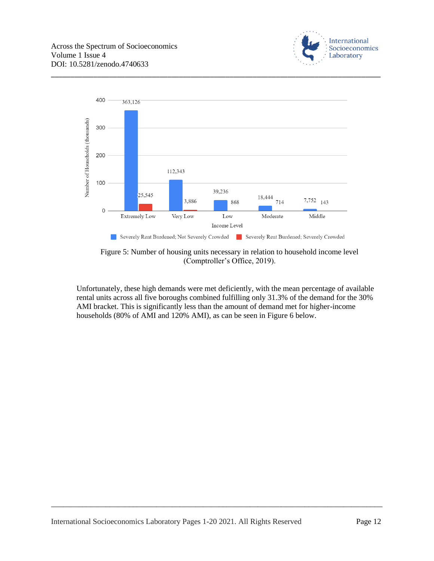



\_\_\_\_\_\_\_\_\_\_\_\_\_\_\_\_\_\_\_\_\_\_\_\_\_\_\_\_\_\_\_\_\_\_\_\_\_\_\_\_\_\_\_\_\_\_\_\_\_\_\_\_\_\_\_\_\_\_\_\_\_\_\_\_\_\_\_\_\_\_\_\_\_\_\_\_\_\_\_\_\_\_\_\_\_

Figure 5: Number of housing units necessary in relation to household income level (Comptroller's Office, 2019).

Unfortunately, these high demands were met deficiently, with the mean percentage of available rental units across all five boroughs combined fulfilling only 31.3% of the demand for the 30% AMI bracket. This is significantly less than the amount of demand met for higher-income households (80% of AMI and 120% AMI), as can be seen in Figure 6 below.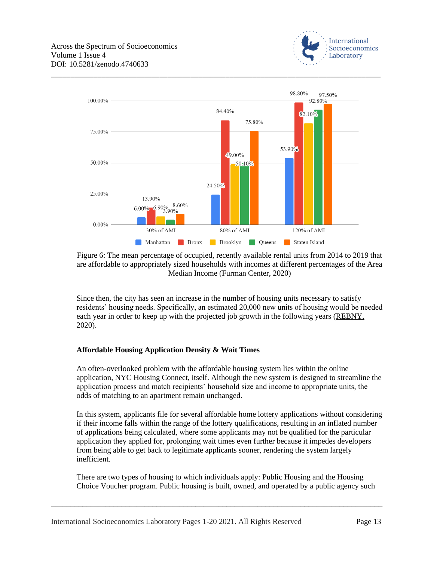



\_\_\_\_\_\_\_\_\_\_\_\_\_\_\_\_\_\_\_\_\_\_\_\_\_\_\_\_\_\_\_\_\_\_\_\_\_\_\_\_\_\_\_\_\_\_\_\_\_\_\_\_\_\_\_\_\_\_\_\_\_\_\_\_\_\_\_\_\_\_\_\_\_\_\_\_\_\_\_\_\_\_\_\_\_

Figure 6: The mean percentage of occupied, recently available rental units from 2014 to 2019 that are affordable to appropriately sized households with incomes at different percentages of the Area Median Income (Furman Center, 2020)

Since then, the city has seen an increase in the number of housing units necessary to satisfy residents' housing needs. Specifically, an estimated 20,000 new units of housing would be needed each year in order to keep up with the projected job growth in the following years [\(REBNY,](https://www.rebny.com/content/rebny/en/newsroom/columns/2020_REBNY_Watch_Columns1/Affordable_Housing_Crisis_The_Problem_We_Need_to_Solve.html#:~:text=To%20keep%20up%20with%20projected,are%20needed%20to%20meet%20demand.)  [2020\)](https://www.rebny.com/content/rebny/en/newsroom/columns/2020_REBNY_Watch_Columns1/Affordable_Housing_Crisis_The_Problem_We_Need_to_Solve.html#:~:text=To%20keep%20up%20with%20projected,are%20needed%20to%20meet%20demand.).

### **Affordable Housing Application Density & Wait Times**

An often-overlooked problem with the affordable housing system lies within the online application, NYC Housing Connect, itself. Although the new system is designed to streamline the application process and match recipients' household size and income to appropriate units, the odds of matching to an apartment remain unchanged.

In this system, applicants file for several affordable home lottery applications without considering if their income falls within the range of the lottery qualifications, resulting in an inflated number of applications being calculated, where some applicants may not be qualified for the particular application they applied for, prolonging wait times even further because it impedes developers from being able to get back to legitimate applicants sooner, rendering the system largely inefficient.

There are two types of housing to which individuals apply: Public Housing and the Housing Choice Voucher program. Public housing is built, owned, and operated by a public agency such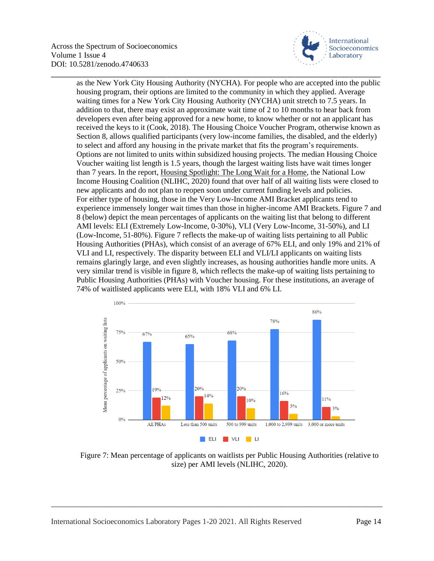

as the New York City Housing Authority (NYCHA). For people who are accepted into the public housing program, their options are limited to the community in which they applied. Average waiting times for a New York City Housing Authority (NYCHA) unit stretch to 7.5 years. In addition to that, there may exist an approximate wait time of 2 to 10 months to hear back from developers even after being approved for a new home, to know whether or not an applicant has received the keys to it (Cook, 2018). The Housing Choice Voucher Program, otherwise known as Section 8, allows qualified participants (very low-income families, the disabled, and the elderly) to select and afford any housing in the private market that fits the program's requirements. Options are not limited to units within subsidized housing projects. The median Housing Choice Voucher waiting list length is 1.5 years, though the largest waiting lists have wait times longer than 7 years. In the report, [Housing Spotlight: The Long Wait for a Home,](https://nlihc.org/resource/housing-spotlight-volume-6-issue-1) the National Low Income Housing Coalition (NLIHC, 2020) found that over half of all waiting lists were closed to new applicants and do not plan to reopen soon under current funding levels and policies. For either type of housing, those in the Very Low-Income AMI Bracket applicants tend to experience immensely longer wait times than those in higher-income AMI Brackets. Figure 7 and 8 (below) depict the mean percentages of applicants on the waiting list that belong to different AMI levels: ELI (Extremely Low-Income, 0-30%), VLI (Very Low-Income, 31-50%), and LI (Low-Income, 51-80%). Figure 7 reflects the make-up of waiting lists pertaining to all Public Housing Authorities (PHAs), which consist of an average of 67% ELI, and only 19% and 21% of VLI and LI, respectively. The disparity between ELI and VLI/LI applicants on waiting lists remains glaringly large, and even slightly increases, as housing authorities handle more units. A very similar trend is visible in figure 8, which reflects the make-up of waiting lists pertaining to Public Housing Authorities (PHAs) with Voucher housing. For these institutions, an average of 74% of waitlisted applicants were ELI, with 18% VLI and 6% LI.

\_\_\_\_\_\_\_\_\_\_\_\_\_\_\_\_\_\_\_\_\_\_\_\_\_\_\_\_\_\_\_\_\_\_\_\_\_\_\_\_\_\_\_\_\_\_\_\_\_\_\_\_\_\_\_\_\_\_\_\_\_\_\_\_\_\_\_\_\_\_\_\_\_\_\_\_\_\_\_\_\_\_\_\_\_



Figure 7: Mean percentage of applicants on waitlists per Public Housing Authorities (relative to size) per AMI levels (NLIHC, 2020).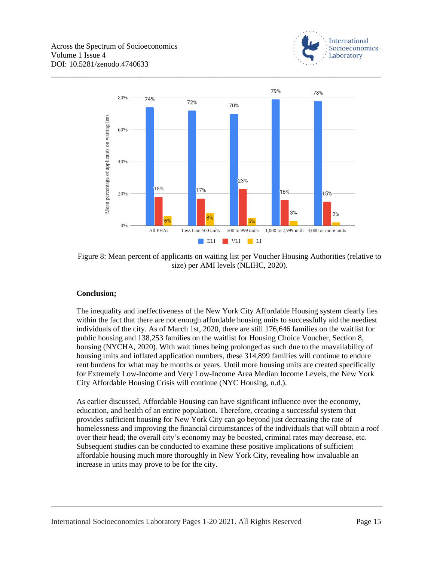



\_\_\_\_\_\_\_\_\_\_\_\_\_\_\_\_\_\_\_\_\_\_\_\_\_\_\_\_\_\_\_\_\_\_\_\_\_\_\_\_\_\_\_\_\_\_\_\_\_\_\_\_\_\_\_\_\_\_\_\_\_\_\_\_\_\_\_\_\_\_\_\_\_\_\_\_\_\_\_\_\_\_\_\_\_

Figure 8: Mean percent of applicants on waiting list per Voucher Housing Authorities (relative to size) per AMI levels (NLIHC, 2020).

### **Conclusion:**

The inequality and ineffectiveness of the New York City Affordable Housing system clearly lies within the fact that there are not enough affordable housing units to successfully aid the neediest individuals of the city. As of March 1st, 2020, there are still 176,646 families on the waitlist for public housing and 138,253 families on the waitlist for Housing Choice Voucher, Section 8, housing (NYCHA, 2020). With wait times being prolonged as such due to the unavailability of housing units and inflated application numbers, these 314,899 families will continue to endure rent burdens for what may be months or years. Until more housing units are created specifically for Extremely Low-Income and Very Low-Income Area Median Income Levels, the New York City Affordable Housing Crisis will continue (NYC Housing, n.d.).

As earlier discussed, Affordable Housing can have significant influence over the economy, education, and health of an entire population. Therefore, creating a successful system that provides sufficient housing for New York City can go beyond just decreasing the rate of homelessness and improving the financial circumstances of the individuals that will obtain a roof over their head; the overall city's economy may be boosted, criminal rates may decrease, etc. Subsequent studies can be conducted to examine these positive implications of sufficient affordable housing much more thoroughly in New York City, revealing how invaluable an increase in units may prove to be for the city.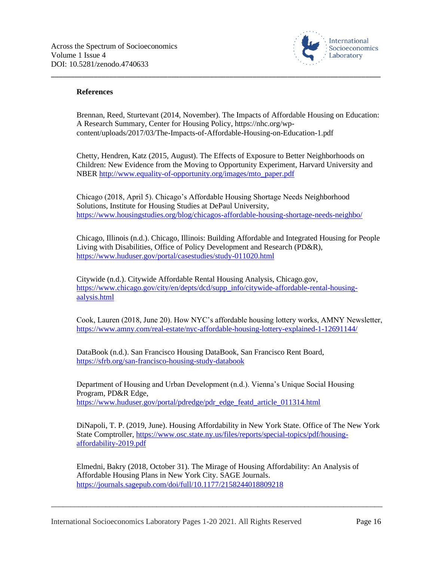

#### **References**

Brennan, Reed, Sturtevant (2014, November). The Impacts of Affordable Housing on Education: A Research Summary, Center for Housing Policy, https://nhc.org/wpcontent/uploads/2017/03/The-Impacts-of-Affordable-Housing-on-Education-1.pdf

\_\_\_\_\_\_\_\_\_\_\_\_\_\_\_\_\_\_\_\_\_\_\_\_\_\_\_\_\_\_\_\_\_\_\_\_\_\_\_\_\_\_\_\_\_\_\_\_\_\_\_\_\_\_\_\_\_\_\_\_\_\_\_\_\_\_\_\_\_\_\_\_\_\_\_\_\_\_\_\_\_\_\_\_\_

Chetty, Hendren, Katz (2015, August). The Effects of Exposure to Better Neighborhoods on Children: New Evidence from the Moving to Opportunity Experiment, Harvard University and NBER [http://www.equality-of-opportunity.org/images/mto\\_paper.pdf](http://www.equality-of-opportunity.org/images/mto_paper.pdf)

Chicago (2018, April 5). Chicago's Affordable Housing Shortage Needs Neighborhood Solutions, Institute for Housing Studies at DePaul University, <https://www.housingstudies.org/blog/chicagos-affordable-housing-shortage-needs-neighbo/>

Chicago, Illinois (n.d.). Chicago, Illinois: Building Affordable and Integrated Housing for People Living with Disabilities, Office of Policy Development and Research (PD&R), <https://www.huduser.gov/portal/casestudies/study-011020.html>

Citywide (n.d.). Citywide Affordable Rental Housing Analysis, Chicago.gov, [https://www.chicago.gov/city/en/depts/dcd/supp\\_info/citywide-affordable-rental-housing](https://www.chicago.gov/city/en/depts/dcd/supp_info/citywide-affordable-rental-housing-aalysis.html)[aalysis.html](https://www.chicago.gov/city/en/depts/dcd/supp_info/citywide-affordable-rental-housing-aalysis.html)

Cook, Lauren (2018, June 20). How NYC's affordable housing lottery works, AMNY Newsletter, <https://www.amny.com/real-estate/nyc-affordable-housing-lottery-explained-1-12691144/>

DataBook (n.d.). San Francisco Housing DataBook, San Francisco Rent Board, <https://sfrb.org/san-francisco-housing-study-databook>

Department of Housing and Urban Development (n.d.). Vienna's Unique Social Housing Program, PD&R Edge, [https://www.huduser.gov/portal/pdredge/pdr\\_edge\\_featd\\_article\\_011314.html](https://www.huduser.gov/portal/pdredge/pdr_edge_featd_article_011314.html)

DiNapoli, T. P. (2019, June). Housing Affordability in New York State. Office of The New York State Comptroller, [https://www.osc.state.ny.us/files/reports/special-topics/pdf/housing](https://www.osc.state.ny.us/files/reports/special-topics/pdf/housing-affordability-2019.pdf)[affordability-2019.pdf](https://www.osc.state.ny.us/files/reports/special-topics/pdf/housing-affordability-2019.pdf)

Elmedni, Bakry (2018, October 31). The Mirage of Housing Affordability: An Analysis of Affordable Housing Plans in New York City. SAGE Journals. <https://journals.sagepub.com/doi/full/10.1177/2158244018809218>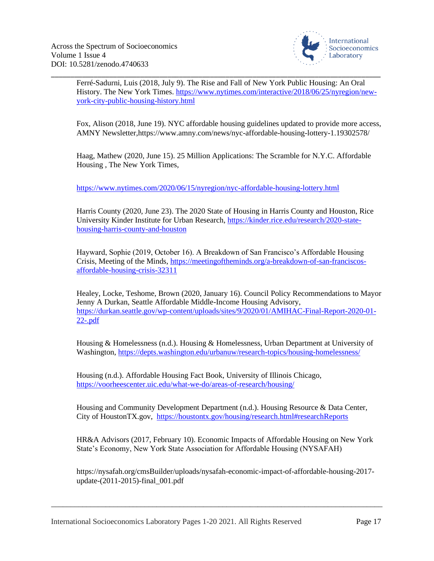

\_\_\_\_\_\_\_\_\_\_\_\_\_\_\_\_\_\_\_\_\_\_\_\_\_\_\_\_\_\_\_\_\_\_\_\_\_\_\_\_\_\_\_\_\_\_\_\_\_\_\_\_\_\_\_\_\_\_\_\_\_\_\_\_\_\_\_\_\_\_\_\_\_\_\_\_\_\_\_\_\_\_\_\_\_ Ferré-Sadurni, Luis (2018, July 9). The Rise and Fall of New York Public Housing: An Oral History. The New York Times. [https://www.nytimes.com/interactive/2018/06/25/nyregion/new](https://www.nytimes.com/interactive/2018/06/25/nyregion/new-york-city-public-housing-history.html)[york-city-public-housing-history.html](https://www.nytimes.com/interactive/2018/06/25/nyregion/new-york-city-public-housing-history.html)

Fox, Alison (2018, June 19). NYC affordable housing guidelines updated to provide more access, AMNY Newsletter,https://www.amny.com/news/nyc-affordable-housing-lottery-1.19302578/

Haag, Mathew (2020, June 15). 25 Million Applications: The Scramble for N.Y.C. Affordable Housing , The New York Times,

<https://www.nytimes.com/2020/06/15/nyregion/nyc-affordable-housing-lottery.html>

Harris County (2020, June 23). The 2020 State of Housing in Harris County and Houston, Rice University Kinder Institute for Urban Research, [https://kinder.rice.edu/research/2020-state](https://kinder.rice.edu/research/2020-state-housing-harris-county-and-houston)[housing-harris-county-and-houston](https://kinder.rice.edu/research/2020-state-housing-harris-county-and-houston)

Hayward, Sophie (2019, October 16). A Breakdown of San Francisco's Affordable Housing Crisis, Meeting of the Minds, [https://meetingoftheminds.org/a-breakdown-of-san-franciscos](https://meetingoftheminds.org/a-breakdown-of-san-franciscos-affordable-housing-crisis-32311)[affordable-housing-crisis-32311](https://meetingoftheminds.org/a-breakdown-of-san-franciscos-affordable-housing-crisis-32311)

Healey, Locke, Teshome, Brown (2020, January 16). Council Policy Recommendations to Mayor Jenny A Durkan, Seattle Affordable Middle-Income Housing Advisory, [https://durkan.seattle.gov/wp-content/uploads/sites/9/2020/01/AMIHAC-Final-Report-2020-01-](https://durkan.seattle.gov/wp-content/uploads/sites/9/2020/01/AMIHAC-Final-Report-2020-01-22-.pdf) [22-.pdf](https://durkan.seattle.gov/wp-content/uploads/sites/9/2020/01/AMIHAC-Final-Report-2020-01-22-.pdf)

Housing & Homelessness (n.d.). Housing & Homelessness, Urban Department at University of Washington[, https://depts.washington.edu/urbanuw/research-topics/housing-homelessness/](https://depts.washington.edu/urbanuw/research-topics/housing-homelessness/)

Housing (n.d.). Affordable Housing Fact Book, University of Illinois Chicago, <https://voorheescenter.uic.edu/what-we-do/areas-of-research/housing/>

Housing and Community Development Department (n.d.). Housing Resource & Data Center, City of HoustonTX.gov, <https://houstontx.gov/housing/research.html#researchReports>

HR&A Advisors (2017, February 10). Economic Impacts of Affordable Housing on New York State's Economy, New York State Association for Affordable Housing (NYSAFAH)

https://nysafah.org/cmsBuilder/uploads/nysafah-economic-impact-of-affordable-housing-2017 update-(2011-2015)-final\_001.pdf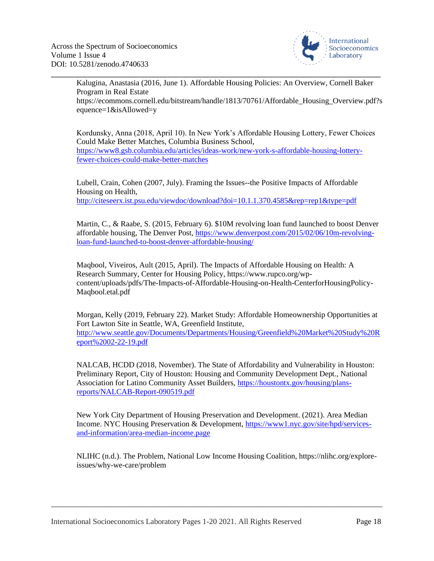

Kalugina, Anastasia (2016, June 1). Affordable Housing Policies: An Overview, Cornell Baker Program in Real Estate https://ecommons.cornell.edu/bitstream/handle/1813/70761/Affordable\_Housing\_Overview.pdf?s equence=1&isAllowed=y

\_\_\_\_\_\_\_\_\_\_\_\_\_\_\_\_\_\_\_\_\_\_\_\_\_\_\_\_\_\_\_\_\_\_\_\_\_\_\_\_\_\_\_\_\_\_\_\_\_\_\_\_\_\_\_\_\_\_\_\_\_\_\_\_\_\_\_\_\_\_\_\_\_\_\_\_\_\_\_\_\_\_\_\_\_

Kordunsky, Anna (2018, April 10). In New York's Affordable Housing Lottery, Fewer Choices Could Make Better Matches, Columbia Business School, [https://www8.gsb.columbia.edu/articles/ideas-work/new-york-s-affordable-housing-lottery](https://www8.gsb.columbia.edu/articles/ideas-work/new-york-s-affordable-housing-lottery-fewer-choices-could-make-better-matches)[fewer-choices-could-make-better-matches](https://www8.gsb.columbia.edu/articles/ideas-work/new-york-s-affordable-housing-lottery-fewer-choices-could-make-better-matches)

Lubell, Crain, Cohen (2007, July). Framing the Issues--the Positive Impacts of Affordable Housing on Health, <http://citeseerx.ist.psu.edu/viewdoc/download?doi=10.1.1.370.4585&rep=rep1&type=pdf>

Martin, C., & Raabe, S. (2015, February 6). \$10M revolving loan fund launched to boost Denver affordable housing, The Denver Post[, https://www.denverpost.com/2015/02/06/10m-revolving](https://www.denverpost.com/2015/02/06/10m-revolving-loan-fund-launched-to-boost-denver-affordable-housing/)[loan-fund-launched-to-boost-denver-affordable-housing/](https://www.denverpost.com/2015/02/06/10m-revolving-loan-fund-launched-to-boost-denver-affordable-housing/)

Maqbool, Viveiros, Ault (2015, April). The Impacts of Affordable Housing on Health: A Research Summary, Center for Housing Policy, https://www.rupco.org/wpcontent/uploads/pdfs/The-Impacts-of-Affordable-Housing-on-Health-CenterforHousingPolicy-Maqbool.etal.pdf

Morgan, Kelly (2019, February 22). Market Study: Affordable Homeownership Opportunities at Fort Lawton Site in Seattle, WA, Greenfield Institute, [http://www.seattle.gov/Documents/Departments/Housing/Greenfield%20Market%20Study%20R](http://www.seattle.gov/Documents/Departments/Housing/Greenfield%20Market%20Study%20Report%2002-22-19.pdf) [eport%2002-22-19.pdf](http://www.seattle.gov/Documents/Departments/Housing/Greenfield%20Market%20Study%20Report%2002-22-19.pdf)

NALCAB, HCDD (2018, November). The State of Affordability and Vulnerability in Houston: Preliminary Report, City of Houston: Housing and Community Development Dept., National Association for Latino Community Asset Builders, [https://houstontx.gov/housing/plans](https://houstontx.gov/housing/plans-reports/NALCAB-Report-090519.pdf)[reports/NALCAB-Report-090519.pdf](https://houstontx.gov/housing/plans-reports/NALCAB-Report-090519.pdf)

New York City Department of Housing Preservation and Development. (2021). Area Median Income. NYC Housing Preservation & Development, [https://www1.nyc.gov/site/hpd/services](https://www1.nyc.gov/site/hpd/services-and-information/area-median-income.page)[and-information/area-median-income.page](https://www1.nyc.gov/site/hpd/services-and-information/area-median-income.page)

NLIHC (n.d.). The Problem, National Low Income Housing Coalition, https://nlihc.org/exploreissues/why-we-care/problem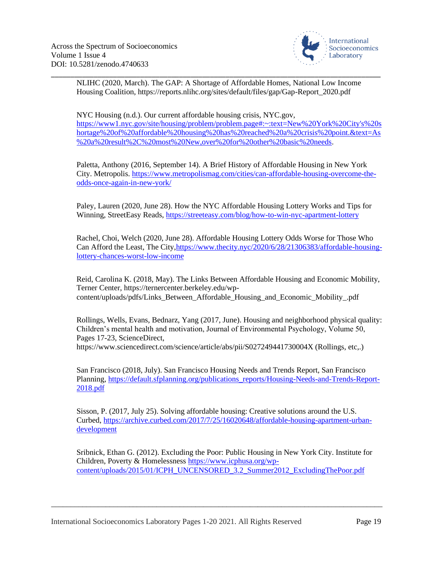[2018.pdf](https://default.sfplanning.org/publications_reports/Housing-Needs-and-Trends-Report-2018.pdf)



NLIHC (2020, March). The GAP: A Shortage of Affordable Homes, National Low Income Housing Coalition, https://reports.nlihc.org/sites/default/files/gap/Gap-Report\_2020.pdf

\_\_\_\_\_\_\_\_\_\_\_\_\_\_\_\_\_\_\_\_\_\_\_\_\_\_\_\_\_\_\_\_\_\_\_\_\_\_\_\_\_\_\_\_\_\_\_\_\_\_\_\_\_\_\_\_\_\_\_\_\_\_\_\_\_\_\_\_\_\_\_\_\_\_\_\_\_\_\_\_\_\_\_\_\_

NYC Housing (n.d.). Our current affordable housing crisis, NYC.gov, [https://www1.nyc.gov/site/housing/problem/problem.page#:~:text=New%20York%20City's%20s](https://www1.nyc.gov/site/housing/problem/problem.page#:~:text=New%20York%20City) [hortage%20of%20affordable%20housing%20has%20reached%20a%20crisis%20point.&text=As](https://www1.nyc.gov/site/housing/problem/problem.page#:~:text=New%20York%20City) [%20a%20result%2C%20most%20New,over%20for%20other%20basic%20needs.](https://www1.nyc.gov/site/housing/problem/problem.page#:~:text=New%20York%20City)

Paletta, Anthony (2016, September 14). A Brief History of Affordable Housing in New York City. Metropolis. [https://www.metropolismag.com/cities/can-affordable-housing-overcome-the](https://www.metropolismag.com/cities/can-affordable-housing-overcome-the-odds-once-again-in-new-york/)[odds-once-again-in-new-york/](https://www.metropolismag.com/cities/can-affordable-housing-overcome-the-odds-once-again-in-new-york/)

Paley, Lauren (2020, June 28). How the NYC Affordable Housing Lottery Works and Tips for Winning, StreetEasy Reads, <https://streeteasy.com/blog/how-to-win-nyc-apartment-lottery>

Rachel, Choi, Welch (2020, June 28). Affordable Housing Lottery Odds Worse for Those Who Can Afford the Least, The City, https://www.thecity.nyc/2020/6/28/21306383/affordable-housing[lottery-chances-worst-low-income](https://www.thecity.nyc/2020/6/28/21306383/affordable-housing-lottery-chances-worst-low-income)

Reid, Carolina K. (2018, May). The Links Between Affordable Housing and Economic Mobility, Terner Center, https://ternercenter.berkeley.edu/wpcontent/uploads/pdfs/Links\_Between\_Affordable\_Housing\_and\_Economic\_Mobility\_.pdf

Rollings, Wells, Evans, Bednarz, Yang (2017, June). Housing and neighborhood physical quality: Children's mental health and motivation, Journal of Environmental Psychology, Volume 50, Pages 17-23, ScienceDirect, https://www.sciencedirect.com/science/article/abs/pii/S027249441730004X (Rollings, etc,.)

San Francisco (2018, July). San Francisco Housing Needs and Trends Report, San Francisco Planning[, https://default.sfplanning.org/publications\\_reports/Housing-Needs-and-Trends-Report-](https://default.sfplanning.org/publications_reports/Housing-Needs-and-Trends-Report-2018.pdf)

Sisson, P. (2017, July 25). Solving affordable housing: Creative solutions around the U.S. Curbed, [https://archive.curbed.com/2017/7/25/16020648/affordable-housing-apartment-urban](https://archive.curbed.com/2017/7/25/16020648/affordable-housing-apartment-urban-development)[development](https://archive.curbed.com/2017/7/25/16020648/affordable-housing-apartment-urban-development)

Sribnick, Ethan G. (2012). Excluding the Poor: Public Housing in New York City. Institute for Children, Poverty & Homelessness [https://www.icphusa.org/wp](https://www.icphusa.org/wp-content/uploads/2015/01/ICPH_UNCENSORED_3.2_Summer2012_ExcludingThePoor.pdf)[content/uploads/2015/01/ICPH\\_UNCENSORED\\_3.2\\_Summer2012\\_ExcludingThePoor.pdf](https://www.icphusa.org/wp-content/uploads/2015/01/ICPH_UNCENSORED_3.2_Summer2012_ExcludingThePoor.pdf)